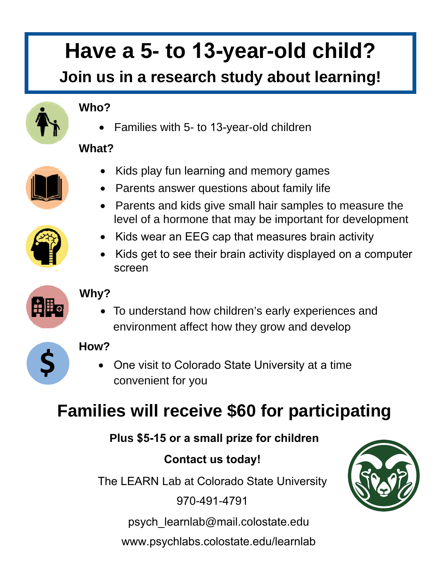# **Have a 5- to 13-year-old child?**

### **Join us in a research study about learning!**

#### **Who?**

• Families with 5- to 13-year-old children

#### **What?**



- Kids play fun learning and memory games • Parents answer questions about family life
- Parents and kids give small hair samples to measure the level of a hormone that may be important for development
- Kids wear an EEG cap that measures brain activity
- Kids get to see their brain activity displayed on a computer screen

#### **Why?**

• To understand how children's early experiences and environment affect how they grow and develop

# **\$**

的时

#### **How?**

• One visit to Colorado State University at a time convenient for you

## **Families will receive \$60 for participating**

#### **Plus \$5-15 or a small prize for children**

#### **Contact us today!**

The LEARN Lab at Colorado State University

970-491-4791

psych\_learnlab@mail.colostate.edu

www.psychlabs.colostate.edu/learnlab

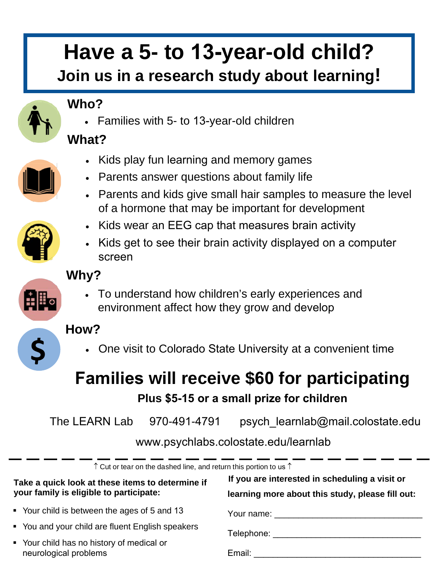# **Have a 5- to 13-year-old child?**

#### **Join us in a research study about learning!**



**\$**

#### **Who?**

• Families with 5- to 13-year-old children

#### **What?**

- Kids play fun learning and memory games
- Parents answer questions about family life
- Parents and kids give small hair samples to measure the level of a hormone that may be important for development
- Kids wear an EEG cap that measures brain activity
- Kids get to see their brain activity displayed on a computer screen

#### **Why?**

• To understand how children's early experiences and environment affect how they grow and develop

#### **How?**

• One visit to Colorado State University at a convenient time

# **Families will receive \$60 for participating**

#### **Plus \$5-15 or a small prize for children**

The LEARN Lab  $970-491-4791$  psych learnlab@mail.colostate.edu

#### www.psychlabs.colostate.edu/learnlab

| $\uparrow$ Cut or tear on the dashed line, and return this portion to us $\uparrow$         |                                                                                                    |
|---------------------------------------------------------------------------------------------|----------------------------------------------------------------------------------------------------|
| Take a quick look at these items to determine if<br>your family is eligible to participate: | If you are interested in scheduling a visit or<br>learning more about this study, please fill out: |
| • Your child is between the ages of 5 and 13                                                |                                                                                                    |
| • You and your child are fluent English speakers                                            | Telephone:                                                                                         |
| • Your child has no history of medical or<br>neurological problems                          | Email: <b>Exercise Email</b>                                                                       |